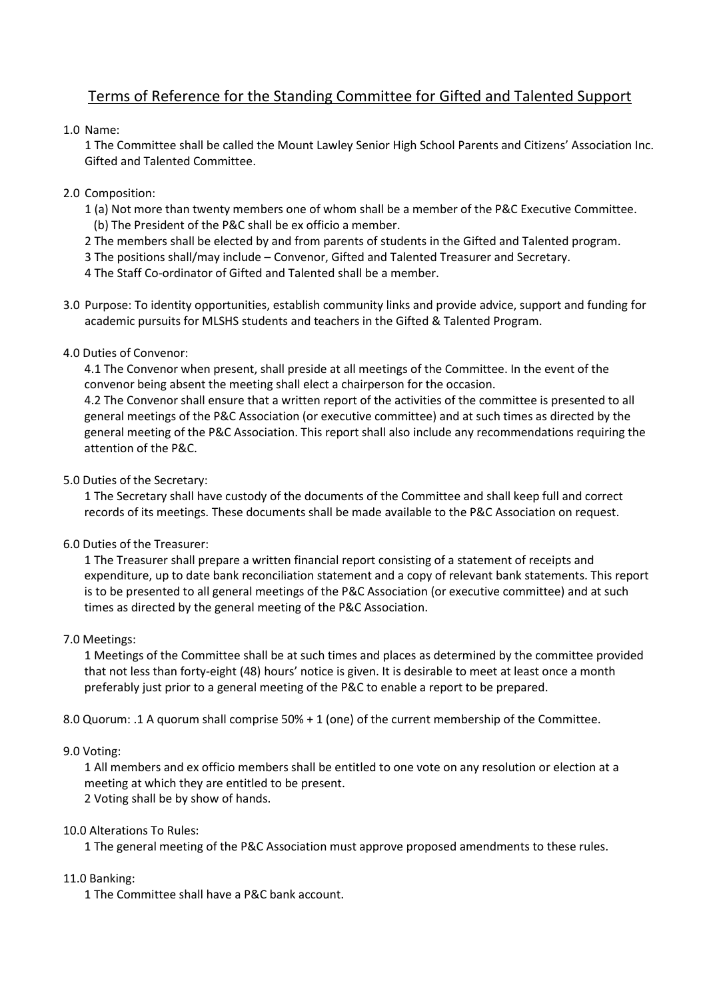# Terms of Reference for the Standing Committee for Gifted and Talented Support

## 1.0 Name:

1 The Committee shall be called the Mount Lawley Senior High School Parents and Citizens' Association Inc. Gifted and Talented Committee.

## 2.0 Composition:

- 1 (a) Not more than twenty members one of whom shall be a member of the P&C Executive Committee. (b) The President of the P&C shall be ex officio a member.
- 2 The members shall be elected by and from parents of students in the Gifted and Talented program.
- 3 The positions shall/may include Convenor, Gifted and Talented Treasurer and Secretary.
- 4 The Staff Co-ordinator of Gifted and Talented shall be a member.
- 3.0 Purpose: To identity opportunities, establish community links and provide advice, support and funding for academic pursuits for MLSHS students and teachers in the Gifted & Talented Program.
- 4.0 Duties of Convenor:

4.1 The Convenor when present, shall preside at all meetings of the Committee. In the event of the convenor being absent the meeting shall elect a chairperson for the occasion.

4.2 The Convenor shall ensure that a written report of the activities of the committee is presented to all general meetings of the P&C Association (or executive committee) and at such times as directed by the general meeting of the P&C Association. This report shall also include any recommendations requiring the attention of the P&C.

## 5.0 Duties of the Secretary:

1 The Secretary shall have custody of the documents of the Committee and shall keep full and correct records of its meetings. These documents shall be made available to the P&C Association on request.

### 6.0 Duties of the Treasurer:

1 The Treasurer shall prepare a written financial report consisting of a statement of receipts and expenditure, up to date bank reconciliation statement and a copy of relevant bank statements. This report is to be presented to all general meetings of the P&C Association (or executive committee) and at such times as directed by the general meeting of the P&C Association.

### 7.0 Meetings:

1 Meetings of the Committee shall be at such times and places as determined by the committee provided that not less than forty-eight (48) hours' notice is given. It is desirable to meet at least once a month preferably just prior to a general meeting of the P&C to enable a report to be prepared.

8.0 Quorum: .1 A quorum shall comprise 50% + 1 (one) of the current membership of the Committee.

### 9.0 Voting:

1 All members and ex officio members shall be entitled to one vote on any resolution or election at a meeting at which they are entitled to be present. 2 Voting shall be by show of hands.

### 10.0 Alterations To Rules:

1 The general meeting of the P&C Association must approve proposed amendments to these rules.

### 11.0 Banking:

1 The Committee shall have a P&C bank account.